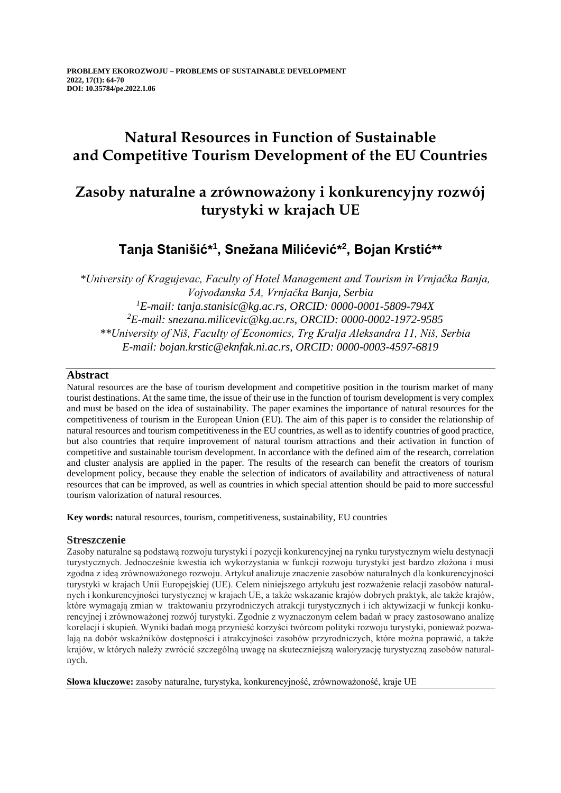## **Natural Resources in Function of Sustainable and Competitive Tourism Development of the EU Countries**

# **Zasoby naturalne a zrównoważony i konkurencyjny rozwój turystyki w krajach UE**

## **Tanja Stanišić\* 1 , Snežana Milićević\* 2 , Bojan Krstić\*\***

*\*University of Kragujevac, Faculty of Hotel Management and Tourism in Vrnjačka Banja, Vojvođanska 5A, Vrnjačka Banja, Serbia <sup>1</sup>E-mail: tanja.stanisic@kg.ac.rs, ORCID: 0000-0001-5809-794X <sup>2</sup>E-mail: snezana.milicevic@kg.ac.rs, ORCID: 0000-0002-1972-9585 \*\*University of Niš, Faculty of Economics, Trg Kralja Aleksandra 11, Niš, Serbia E-mail: bojan.krstic@eknfak.ni.ac.rs, ORCID: 0000-0003-4597-6819*

### **Abstract**

Natural resources are the base of tourism development and competitive position in the tourism market of many tourist destinations. At the same time, the issue of their use in the function of tourism development is very complex and must be based on the idea of sustainability. The paper examines the importance of natural resources for the competitiveness of tourism in the European Union (EU). The aim of this paper is to consider the relationship of natural resources and tourism competitiveness in the EU countries, as well as to identify countries of good practice, but also countries that require improvement of natural tourism attractions and their activation in function of competitive and sustainable tourism development. In accordance with the defined aim of the research, correlation and cluster analysis are applied in the paper. The results of the research can benefit the creators of tourism development policy, because they enable the selection of indicators of availability and attractiveness of natural resources that can be improved, as well as countries in which special attention should be paid to more successful tourism valorization of natural resources.

**Key words:** natural resources, tourism, competitiveness, sustainability, EU countries

### **Streszczenie**

Zasoby naturalne są podstawą rozwoju turystyki i pozycji konkurencyjnej na rynku turystycznym wielu destynacji turystycznych. Jednocześnie kwestia ich wykorzystania w funkcji rozwoju turystyki jest bardzo złożona i musi zgodna z ideą zrównoważonego rozwoju. Artykuł analizuje znaczenie zasobów naturalnych dla konkurencyjności turystyki w krajach Unii Europejskiej (UE). Celem niniejszego artykułu jest rozważenie relacji zasobów naturalnych i konkurencyjności turystycznej w krajach UE, a także wskazanie krajów dobrych praktyk, ale także krajów, które wymagają zmian w traktowaniu przyrodniczych atrakcji turystycznych i ich aktywizacji w funkcji konkurencyjnej i zrównoważonej rozwój turystyki. Zgodnie z wyznaczonym celem badań w pracy zastosowano analizę korelacji i skupień. Wyniki badań mogą przynieść korzyści twórcom polityki rozwoju turystyki, ponieważ pozwalają na dobór wskaźników dostępności i atrakcyjności zasobów przyrodniczych, które można poprawić, a także krajów, w których należy zwrócić szczególną uwagę na skuteczniejszą waloryzację turystyczną zasobów naturalnych.

**Słowa kluczowe:** zasoby naturalne, turystyka, konkurencyjność, zrównoważoność, kraje UE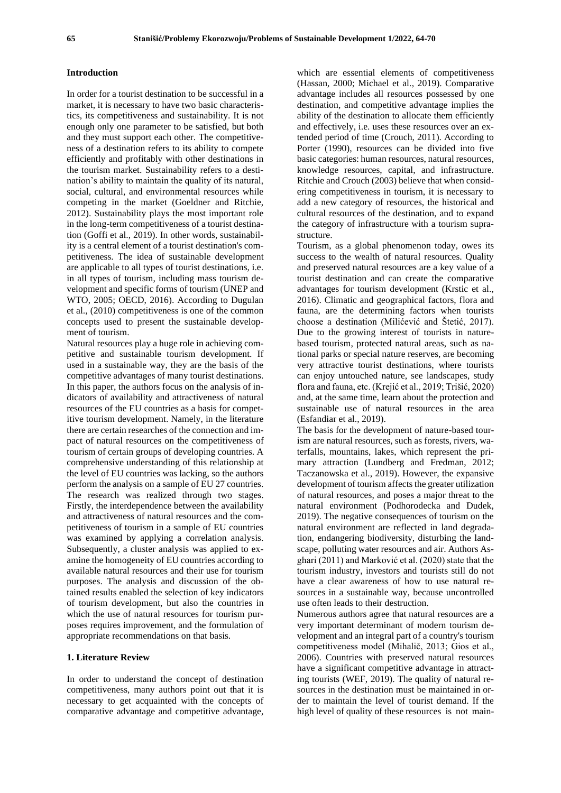#### **Introduction**

In order for a tourist destination to be successful in a market, it is necessary to have two basic characteristics, its competitiveness and sustainability. It is not enough only one parameter to be satisfied, but both and they must support each other. The competitiveness of a destination refers to its ability to compete efficiently and profitably with other destinations in the tourism market. Sustainability refers to a destination's ability to maintain the quality of its natural, social, cultural, and environmental resources while competing in the market (Goeldner and Ritchie, 2012). Sustainability plays the most important role in the long-term competitiveness of a tourist destination (Goffi et al., 2019). In other words, sustainability is a central element of a tourist destination's competitiveness. The idea of sustainable development are applicable to all types of tourist destinations, i.e. in all types of tourism, including mass tourism development and specific forms of tourism (UNEP and WTO, 2005; OECD, 2016). According to Dugulan et al., (2010) competitiveness is one of the common concepts used to present the sustainable development of tourism.

Natural resources play a huge role in achieving competitive and sustainable tourism development. If used in a sustainable way, they are the basis of the competitive advantages of many tourist destinations. In this paper, the authors focus on the analysis of indicators of availability and attractiveness of natural resources of the EU countries as a basis for competitive tourism development. Namely, in the literature there are certain researches of the connection and impact of natural resources on the competitiveness of tourism of certain groups of developing countries. A comprehensive understanding of this relationship at the level of EU countries was lacking, so the authors perform the analysis on a sample of EU 27 countries. The research was realized through two stages. Firstly, the interdependence between the availability and attractiveness of natural resources and the competitiveness of tourism in a sample of EU countries was examined by applying a correlation analysis. Subsequently, a cluster analysis was applied to examine the homogeneity of EU countries according to available natural resources and their use for tourism purposes. The analysis and discussion of the obtained results enabled the selection of key indicators of tourism development, but also the countries in which the use of natural resources for tourism purposes requires improvement, and the formulation of appropriate recommendations on that basis.

#### **1. Literature Review**

In order to understand the concept of destination competitiveness, many authors point out that it is necessary to get acquainted with the concepts of comparative advantage and competitive advantage,

which are essential elements of competitiveness (Hassan, 2000; Michael et al., 2019). Comparative advantage includes all resources possessed by one destination, and competitive advantage implies the ability of the destination to allocate them efficiently and effectively, i.e. uses these resources over an extended period of time (Crouch, 2011). According to Porter (1990), resources can be divided into five basic categories: human resources, natural resources, knowledge resources, capital, and infrastructure. Ritchie and Crouch (2003) believe that when considering competitiveness in tourism, it is necessary to add a new category of resources, the historical and cultural resources of the destination, and to expand the category of infrastructure with a tourism suprastructure.

Tourism, as a global phenomenon today, owes its success to the wealth of natural resources. Quality and preserved natural resources are a key value of a tourist destination and can create the comparative advantages for tourism development (Krstic et al., 2016). Climatic and geographical factors, flora and fauna, are the determining factors when tourists choose a destination (Milićević and Štetić, 2017). Due to the growing interest of tourists in naturebased tourism, protected natural areas, such as national parks or special nature reserves, are becoming very attractive tourist destinations, where tourists can enjoy untouched nature, see landscapes, study flora and fauna, etc. (Krejić et al., 2019; Trišić, 2020) and, at the same time, learn about the protection and sustainable use of natural resources in the area (Esfandiar et al., 2019).

The basis for the development of nature-based tourism are natural resources, such as forests, rivers, waterfalls, mountains, lakes, which represent the primary attraction (Lundberg and Fredman, 2012; Taczanowska et al., 2019). However, the expansive development of tourism affects the greater utilization of natural resources, and poses a major threat to the natural environment (Podhorodecka and Dudek, 2019). The negative consequences of tourism on the natural environment are reflected in land degradation, endangering biodiversity, disturbing the landscape, polluting water resources and air. Authors Asghari (2011) and Marković et al. (2020) state that the tourism industry, investors and tourists still do not have a clear awareness of how to use natural resources in a sustainable way, because uncontrolled use often leads to their destruction.

Numerous authors agree that natural resources are a very important determinant of modern tourism development and an integral part of a country's tourism competitiveness model (Mihalič, 2013; Gios et al., 2006). Countries with preserved natural resources have a significant competitive advantage in attracting tourists (WEF, 2019). The quality of natural resources in the destination must be maintained in order to maintain the level of tourist demand. If the high level of quality of these resources is not main-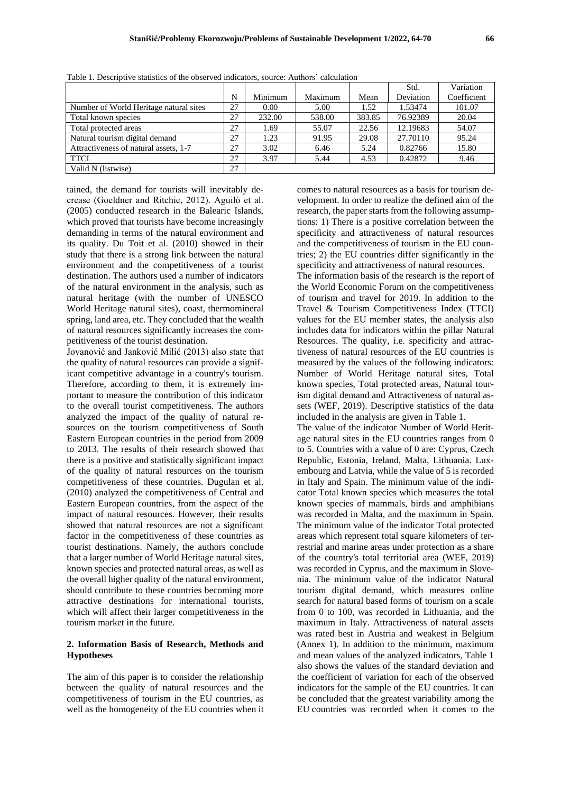|                                        |    |         |         |        | Std.      | Variation   |
|----------------------------------------|----|---------|---------|--------|-----------|-------------|
|                                        | N  | Minimum | Maximum | Mean   | Deviation | Coefficient |
| Number of World Heritage natural sites | 27 | 0.00    | 5.00    | 1.52   | 1.53474   | 101.07      |
| Total known species                    | 27 | 232.00  | 538.00  | 383.85 | 76.92389  | 20.04       |
| Total protected areas                  | 27 | 1.69    | 55.07   | 22.56  | 12.19683  | 54.07       |
| Natural tourism digital demand         | 27 | 1.23    | 91.95   | 29.08  | 27.70110  | 95.24       |
| Attractiveness of natural assets, 1-7  | 27 | 3.02    | 6.46    | 5.24   | 0.82766   | 15.80       |
| <b>TTCI</b>                            | 27 | 3.97    | 5.44    | 4.53   | 0.42872   | 9.46        |
| Valid N (listwise)                     | 27 |         |         |        |           |             |

Table 1. Descriptive statistics of the observed indicators, source: Authors' calculation

tained, the demand for tourists will inevitably decrease (Goeldner and Ritchie, 2012). Aguiló et al. (2005) conducted research in the Balearic Islands, which proved that tourists have become increasingly demanding in terms of the natural environment and its quality. Du Toit et al. (2010) showed in their study that there is a strong link between the natural environment and the competitiveness of a tourist destination. The authors used a number of indicators of the natural environment in the analysis, such as natural heritage (with the number of UNESCO World Heritage natural sites), coast, thermomineral spring, land area, etc. They concluded that the wealth of natural resources significantly increases the competitiveness of the tourist destination.

Jovanović and Janković Milić (2013) also state that the quality of natural resources can provide a significant competitive advantage in a country's tourism. Therefore, according to them, it is extremely important to measure the contribution of this indicator to the overall tourist competitiveness. The authors analyzed the impact of the quality of natural resources on the tourism competitiveness of South Eastern European countries in the period from 2009 to 2013. The results of their research showed that there is a positive and statistically significant impact of the quality of natural resources on the tourism competitiveness of these countries. Dugulan et al. (2010) analyzed the competitiveness of Central and Eastern European countries, from the aspect of the impact of natural resources. However, their results showed that natural resources are not a significant factor in the competitiveness of these countries as tourist destinations. Namely, the authors conclude that a larger number of World Heritage natural sites, known species and protected natural areas, as well as the overall higher quality of the natural environment, should contribute to these countries becoming more attractive destinations for international tourists, which will affect their larger competitiveness in the tourism market in the future.

#### **2. Information Basis of Research, Methods and Hypotheses**

The aim of this paper is to consider the relationship between the quality of natural resources and the competitiveness of tourism in the EU countries, as well as the homogeneity of the EU countries when it comes to natural resources as a basis for tourism development. In order to realize the defined aim of the research, the paper starts from the following assumptions: 1) There is a positive correlation between the specificity and attractiveness of natural resources and the competitiveness of tourism in the EU countries; 2) the EU countries differ significantly in the specificity and attractiveness of natural resources.

The information basis of the research is the report of the World Economic Forum on the competitiveness of tourism and travel for 2019. In addition to the Travel & Tourism Competitiveness Index (TTCI) values for the EU member states, the analysis also includes data for indicators within the pillar Natural Resources. The quality, i.e. specificity and attractiveness of natural resources of the EU countries is measured by the values of the following indicators: Number of World Heritage natural sites, Total known species, Total protected areas, Natural tourism digital demand and Attractiveness of natural assets (WEF, 2019). Descriptive statistics of the data included in the analysis are given in Table 1.

The value of the indicator Number of World Heritage natural sites in the EU countries ranges from 0 to 5. Countries with a value of 0 are: Cyprus, Czech Republic, Estonia, Ireland, Malta, Lithuania. Luxembourg and Latvia, while the value of 5 is recorded in Italy and Spain. The minimum value of the indicator Total known species which measures the total known species of mammals, birds and amphibians was recorded in Malta, and the maximum in Spain. The minimum value of the indicator Total protected areas which represent total square kilometers of terrestrial and marine areas under protection as a share of the country's total territorial area (WEF, 2019) was recorded in Cyprus, and the maximum in Slovenia. The minimum value of the indicator Natural tourism digital demand, which measures online search for natural based forms of tourism on a scale from 0 to 100, was recorded in Lithuania, and the maximum in Italy. Attractiveness of natural assets was rated best in Austria and weakest in Belgium (Annex 1). In addition to the minimum, maximum and mean values of the analyzed indicators, Table 1 also shows the values of the standard deviation and the coefficient of variation for each of the observed indicators for the sample of the EU countries. It can be concluded that the greatest variability among the EU countries was recorded when it comes to the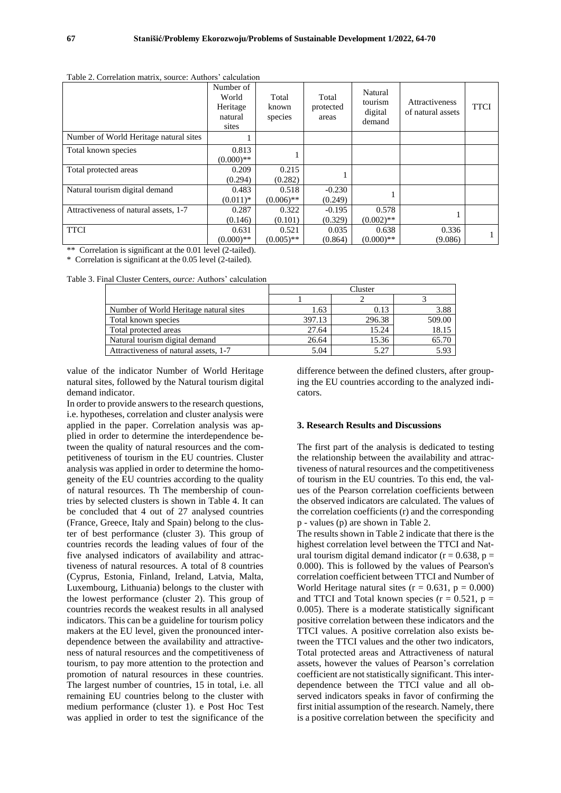|                                        | Number of<br>World<br>Heritage<br>natural<br>sites | Total<br>known<br>species | Total<br>protected<br>areas | Natural<br>tourism<br>digital<br>demand | <b>Attractiveness</b><br>of natural assets | <b>TTCI</b> |
|----------------------------------------|----------------------------------------------------|---------------------------|-----------------------------|-----------------------------------------|--------------------------------------------|-------------|
| Number of World Heritage natural sites |                                                    |                           |                             |                                         |                                            |             |
| Total known species                    | 0.813<br>$(0.000)**$                               |                           |                             |                                         |                                            |             |
| Total protected areas                  | 0.209<br>(0.294)                                   | 0.215<br>(0.282)          |                             |                                         |                                            |             |
| Natural tourism digital demand         | 0.483<br>$(0.011)*$                                | 0.518<br>$(0.006)$ **     | $-0.230$<br>(0.249)         |                                         |                                            |             |
| Attractiveness of natural assets, 1-7  | 0.287<br>(0.146)                                   | 0.322<br>(0.101)          | $-0.195$<br>(0.329)         | 0.578<br>$(0.002)$ **                   |                                            |             |
| <b>TTCI</b>                            | 0.631<br>$(0.000)**$                               | 0.521<br>$(0.005)$ **     | 0.035<br>(0.864)            | 0.638<br>$(0.000)**$                    | 0.336<br>(9.086)                           |             |

Table 2. Correlation matrix, source: Authors' calculation

\*\* Correlation is significant at the 0.01 level (2-tailed).

\* Correlation is significant at the 0.05 level (2-tailed).

Table 3. Final Cluster Centers, *ource:* Authors' calculation

|                                        | Cluster |        |        |  |  |
|----------------------------------------|---------|--------|--------|--|--|
|                                        |         |        |        |  |  |
| Number of World Heritage natural sites | 1.63    | 0.13   | 3.88   |  |  |
| Total known species                    | 397.13  | 296.38 | 509.00 |  |  |
| Total protected areas                  | 27.64   | 15.24  | 18.15  |  |  |
| Natural tourism digital demand         | 26.64   | 15.36  | 65.70  |  |  |
| Attractiveness of natural assets, 1-7  | 5.04    | 5.27   | 5.93   |  |  |

value of the indicator Number of World Heritage natural sites, followed by the Natural tourism digital demand indicator.

In order to provide answers to the research questions, i.e. hypotheses, correlation and cluster analysis were applied in the paper. Correlation analysis was applied in order to determine the interdependence between the quality of natural resources and the competitiveness of tourism in the EU countries. Cluster analysis was applied in order to determine the homogeneity of the EU countries according to the quality of natural resources. Th The membership of countries by selected clusters is shown in Table 4. It can be concluded that 4 out of 27 analysed countries (France, Greece, Italy and Spain) belong to the cluster of best performance (cluster 3). This group of countries records the leading values of four of the five analysed indicators of availability and attractiveness of natural resources. A total of 8 countries (Cyprus, Estonia, Finland, Ireland, Latvia, Malta, Luxembourg, Lithuania) belongs to the cluster with the lowest performance (cluster 2). This group of countries records the weakest results in all analysed indicators. This can be a guideline for tourism policy makers at the EU level, given the pronounced interdependence between the availability and attractiveness of natural resources and the competitiveness of tourism, to pay more attention to the protection and promotion of natural resources in these countries. The largest number of countries, 15 in total, i.e. all remaining EU countries belong to the cluster with medium performance (cluster 1). e Post Hoc Test was applied in order to test the significance of the

difference between the defined clusters, after grouping the EU countries according to the analyzed indicators.

#### **3. Research Results and Discussions**

The first part of the analysis is dedicated to testing the relationship between the availability and attractiveness of natural resources and the competitiveness of tourism in the EU countries. To this end, the values of the Pearson correlation coefficients between the observed indicators are calculated. The values of the correlation coefficients (r) and the corresponding p - values (p) are shown in Table 2.

The results shown in Table 2 indicate that there is the highest correlation level between the TTCI and Natural tourism digital demand indicator ( $r = 0.638$ ,  $p =$ 0.000). This is followed by the values of Pearson's correlation coefficient between TTCI and Number of World Heritage natural sites  $(r = 0.631, p = 0.000)$ and TTCI and Total known species  $(r = 0.521, p =$ 0.005). There is a moderate statistically significant positive correlation between these indicators and the TTCI values. A positive correlation also exists between the TTCI values and the other two indicators, Total protected areas and Attractiveness of natural assets, however the values of Pearson's correlation coefficient are not statistically significant. This interdependence between the TTCI value and all observed indicators speaks in favor of confirming the first initial assumption of the research. Namely, there is a positive correlation between the specificity and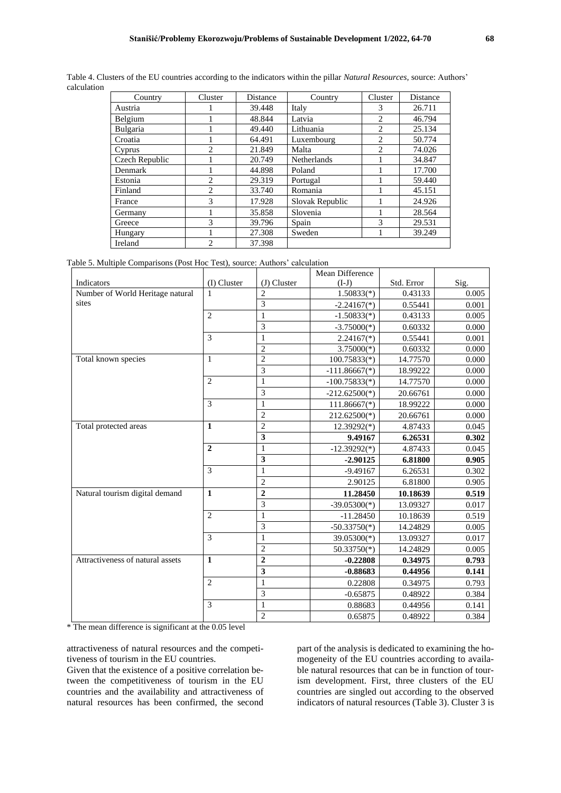| Country        | Cluster        | Distance | Country         | Cluster                | Distance |
|----------------|----------------|----------|-----------------|------------------------|----------|
| Austria        |                | 39.448   | Italy           | 3                      | 26.711   |
| Belgium        |                | 48.844   | Latvia          | $\overline{c}$         | 46.794   |
| Bulgaria       |                | 49.440   | Lithuania       | $\overline{c}$         | 25.134   |
| Croatia        |                | 64.491   | Luxembourg      | $\overline{c}$         | 50.774   |
| Cyprus         | $\mathfrak{D}$ | 21.849   | Malta           | $\mathcal{D}_{\alpha}$ | 74.026   |
| Czech Republic |                | 20.749   | Netherlands     |                        | 34.847   |
| Denmark        |                | 44.898   | Poland          |                        | 17.700   |
| Estonia        | $\overline{c}$ | 29.319   | Portugal        |                        | 59.440   |
| Finland        | $\overline{c}$ | 33.740   | Romania         |                        | 45.151   |
| France         | 3              | 17.928   | Slovak Republic |                        | 24.926   |
| Germany        |                | 35.858   | Slovenia        |                        | 28.564   |
| Greece         | 3              | 39.796   | Spain           | 3                      | 29.531   |
| Hungary        |                | 27.308   | Sweden          |                        | 39.249   |
| Ireland        | $\mathfrak{D}$ | 37.398   |                 |                        |          |

Table 4. Clusters of the EU countries according to the indicators within the pillar *Natural Resources,* source: Authors' calculation

Table 5. Multiple Comparisons (Post Hoc Test), source: Authors' calculation

|                                  |                |                         | Mean Difference |            |       |
|----------------------------------|----------------|-------------------------|-----------------|------------|-------|
| Indicators                       | $(I)$ Cluster  | $(J)$ Cluster           | $(I-J)$         | Std. Error | Sig.  |
| Number of World Heritage natural | $\mathbf{1}$   | $\overline{c}$          | $1.50833(*)$    | 0.43133    | 0.005 |
| sites                            |                | $\overline{3}$          | $-2.24167(*)$   | 0.55441    | 0.001 |
|                                  | $\overline{2}$ | $\mathbf{1}$            | $-1.50833(*)$   | 0.43133    | 0.005 |
|                                  |                | 3                       | $-3.75000(*)$   | 0.60332    | 0.000 |
|                                  | 3              | $\mathbf{1}$            | $2.24167(*)$    | 0.55441    | 0.001 |
|                                  |                | $\overline{c}$          | $3.75000(*)$    | 0.60332    | 0.000 |
| Total known species              | $\mathbf{1}$   | $\overline{c}$          | $100.75833(*)$  | 14.77570   | 0.000 |
|                                  |                | $\overline{3}$          | $-111.86667(*)$ | 18.99222   | 0.000 |
|                                  | $\overline{2}$ | $\mathbf{1}$            | $-100.75833(*)$ | 14.77570   | 0.000 |
|                                  |                | $\overline{\mathbf{3}}$ | $-212.62500(*)$ | 20.66761   | 0.000 |
|                                  | 3              | $\mathbf{1}$            | $111.86667(*)$  | 18.99222   | 0.000 |
|                                  |                | $\sqrt{2}$              | 212.62500(*)    | 20.66761   | 0.000 |
| Total protected areas            | $\mathbf{1}$   | $\sqrt{2}$              | $12.39292(*)$   | 4.87433    | 0.045 |
|                                  |                | 3                       | 9.49167         | 6.26531    | 0.302 |
|                                  | $\overline{2}$ | $\,1$                   | $-12.39292(*)$  | 4.87433    | 0.045 |
|                                  |                | $\overline{\mathbf{3}}$ | $-2.90125$      | 6.81800    | 0.905 |
|                                  | 3              | $\mathbf{1}$            | $-9.49167$      | 6.26531    | 0.302 |
|                                  |                | $\overline{c}$          | 2.90125         | 6.81800    | 0.905 |
| Natural tourism digital demand   | $\mathbf{1}$   | $\mathbf{2}$            | 11.28450        | 10.18639   | 0.519 |
|                                  |                | 3                       | $-39.05300(*)$  | 13.09327   | 0.017 |
|                                  | $\overline{2}$ | $\,1$                   | $-11.28450$     | 10.18639   | 0.519 |
|                                  |                | 3                       | $-50.33750(*)$  | 14.24829   | 0.005 |
|                                  | 3              | $\,1$                   | $39.05300(*)$   | 13.09327   | 0.017 |
|                                  |                | $\overline{c}$          | $50.33750(*)$   | 14.24829   | 0.005 |
| Attractiveness of natural assets | $\mathbf{1}$   | $\mathbf{2}$            | $-0.22808$      | 0.34975    | 0.793 |
|                                  |                | $\overline{\mathbf{3}}$ | $-0.88683$      | 0.44956    | 0.141 |
|                                  | $\overline{2}$ | $\mathbf{1}$            | 0.22808         | 0.34975    | 0.793 |
|                                  |                | 3                       | $-0.65875$      | 0.48922    | 0.384 |
|                                  | 3              | $\mathbf{1}$            | 0.88683         | 0.44956    | 0.141 |
|                                  |                | $\mathbf{2}$            | 0.65875         | 0.48922    | 0.384 |

\* The mean difference is significant at the 0.05 level

attractiveness of natural resources and the competitiveness of tourism in the EU countries.

Given that the existence of a positive correlation between the competitiveness of tourism in the EU countries and the availability and attractiveness of natural resources has been confirmed, the second

part of the analysis is dedicated to examining the homogeneity of the EU countries according to available natural resources that can be in function of tourism development. First, three clusters of the EU countries are singled out according to the observed indicators of natural resources (Table 3). Cluster 3 is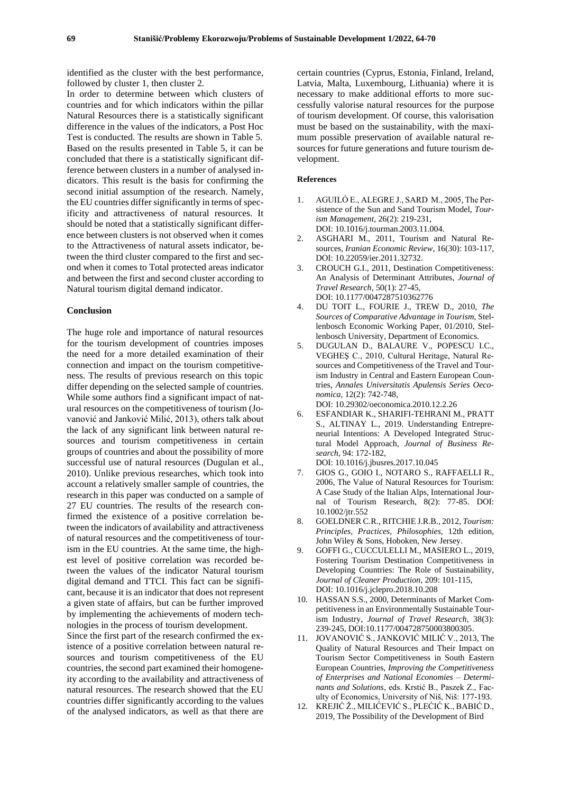identified as the cluster with the best performance, followed by cluster 1, then cluster 2.

In order to determine between which clusters of countries and for which indicators within the pillar Natural Resources there is a statistically significant difference in the values of the indicators, a Post Hoc Test is conducted. The results are shown in Table 5. Based on the results presented in Table 5, it can be concluded that there is a statistically significant difference between clusters in a number of analysed indicators. This result is the basis for confirming the second initial assumption of the research. Namely, the EU countries differ significantly in terms of specificity and attractiveness of natural resources. It should be noted that a statistically significant difference between clusters is not observed when it comes to the Attractiveness of natural assets indicator, between the third cluster compared to the first and second when it comes to Total protected areas indicator and between the first and second cluster according to Natural tourism digital demand indicator.

#### **Conclusion**

The huge role and importance of natural resources for the tourism development of countries imposes the need for a more detailed examination of their connection and impact on the tourism competitiveness. The results of previous research on this topic differ depending on the selected sample of countries. While some authors find a significant impact of natural resources on the competitiveness of tourism (Jovanović and Janković Milić, 2013), others talk about the lack of any significant link between natural resources and tourism competitiveness in certain groups of countries and about the possibility of more successful use of natural resources (Dugulan et al., 2010). Unlike previous researches, which took into account a relatively smaller sample of countries, the research in this paper was conducted on a sample of 27 EU countries. The results of the research confirmed the existence of a positive correlation between the indicators of availability and attractiveness of natural resources and the competitiveness of tourism in the EU countries. At the same time, the highest level of positive correlation was recorded between the values of the indicator Natural tourism digital demand and TTCI. This fact can be significant, because it is an indicator that does not represent a given state of affairs, but can be further improved by implementing the achievements of modern technologies in the process of tourism development.

Since the first part of the research confirmed the existence of a positive correlation between natural resources and tourism competitiveness of the EU countries, the second part examined their homogeneity according to the availability and attractiveness of natural resources. The research showed that the EU countries differ significantly according to the values of the analysed indicators, as well as that there are

certain countries (Cyprus, Estonia, Finland, Ireland, Latvia, Malta, Luxembourg, Lithuania) where it is necessary to make additional efforts to more successfully valorise natural resources for the purpose of tourism development. Of course, this valorisation must be based on the sustainability, with the maximum possible preservation of available natural resources for future generations and future tourism development.

#### **References**

- 1. AGUILÓ E., ALEGRE J., SARD M., 2005, The Persistence of the Sun and Sand Tourism Model, *Tourism Management,* 26(2): 219-231, DOI: 10.1016/j.tourman.2003.11.004.
- 2. ASGHARI M., 2011, Tourism and Natural Resources, *Iranian Economic Review,* 16(30): 103-117, DOI: 10.22059/ier.2011.32732.
- 3. CROUCH G.I., 2011, Destination Competitiveness: An Analysis of Determinant Attributes, *Journal of Travel Research,* 50(1): 27-45, DOI: 10.1177/0047287510362776
- 4. DU TOIT L., FOURIE J., TREW D., 2010, *The Sources of Comparative Advantage in Tourism*, Stellenbosch Economic Working Paper, 01/2010, Stellenbosch University, Department of Economics.
- 5. DUGULAN D., BALAURE V., POPESCU I.C., VEGHEŞ C., 2010, Cultural Heritage, Natural Resources and Competitiveness of the Travel and Tourism Industry in Central and Eastern European Countries, *Annales Universitatis Apulensis Series Oeconomica,* 12(2): 742-748,

DOI: 10.29302/oeconomica.2010.12.2.26

- 6. ESFANDIAR K., SHARIFI-TEHRANI M., PRATT S., ALTINAY L., 2019. Understanding Entrepreneurial Intentions: A Developed Integrated Structural Model Approach, *Journal of Business Research,* 94: 172-182, DOI: 10.1016/j.jbusres.2017.10.045
- 7. GIOS G., GOIO I., NOTARO S., RAFFAELLI R., 2006, The Value of Natural Resources for Tourism: A Case Study of the Italian Alps, International Journal of Tourism Research, 8(2): 77-85. DOI: 10.1002/jtr.552
- 8. GOELDNER C.R., RITCHIE J.R.B., 2012, *Tourism: Principles, Practices, Philosophies,* 12th edition, John Wiley & Sons, Hoboken, New Jersey.
- 9. GOFFI G., CUCCULELLI M., MASIERO L., 2019, Fostering Tourism Destination Competitiveness in Developing Countries: The Role of Sustainability, *Journal of Cleaner Production,* 209: 101-115, DOI: 10.1016/j.jclepro.2018.10.208
- 10. HASSAN S.S., 2000, Determinants of Market Competitiveness in an Environmentally Sustainable Tourism Industry, *Journal of Travel Research*, 38(3): 239-245, DOI:10.1177/004728750003800305.
- 11. JOVANOVIĆ S., JANKOVIĆ MILIĆ V., 2013, The Quality of Natural Resources and Their Impact on Tourism Sector Competitiveness in South Eastern European Countries, *Improving the Competitiveness of Enterprises and National Economies – Determinants and Solutions*, eds. Krstić B., Paszek Z., Faculty of Economics, University of Niš, Niš: 177-193.
- 12. KREJIĆ Ž., MILIĆEVIĆ S., PLEĆIĆ K., BABIĆ D., 2019, The Possibility of the Development of Bird